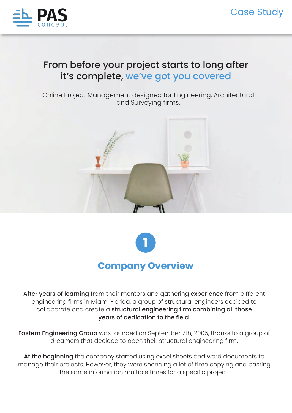

## From before your project starts to long after it's complete, we've got you covered

Online Project Management designed for Engineering, Architectural and Surveying firms.





After years of learning from their mentors and gathering experience from different engineering firms in Miami Florida, a group of structural engineers decided to collaborate and create a structural engineering firm combining all those years of dedication to the field.

Eastern Engineering Group was founded on September 7th, 2005, thanks to a group of dreamers that decided to open their structural engineering firm.

At the beginning the company started using excel sheets and word documents to manage their projects. However, they were spending a lot of time copying and pasting the same information multiple times for a specific project.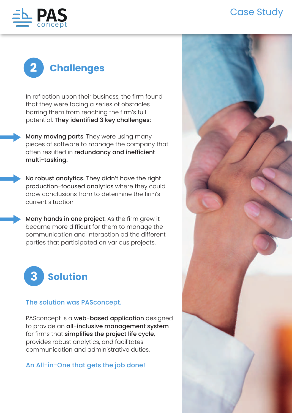## Case Study





In reflection upon their business, the firm found that they were facing a series of obstacles barring them from reaching the firm's full potential. They identified 3 key challenges:

Many moving parts. They were using many pieces of software to manage the company that often resulted in redundancy and inefficient multi-tasking.

No robust analytics. They didn't have the right production-focused analytics where they could draw conclusions from to determine the firm's current situation

Many hands in one project. As the firm grew it became more difficult for them to manage the communication and interaction od the different parties that participated on various projects.



## The solution was PASconcept.

PASconcept is a web-based application designed to provide an all-inclusive management system for firms that simplifies the project life cycle, provides robust analytics, and facilitates communication and administrative duties.

## An All-in-One that gets the job done!